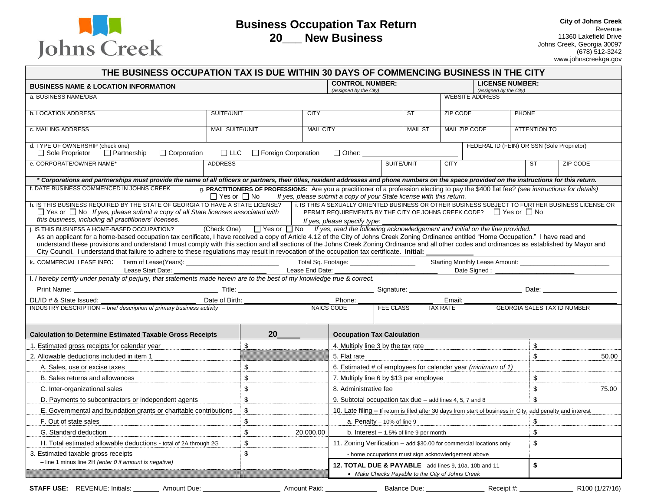

# **Business Occupation Tax Return 20\_\_\_ New Business**

**City of Johns Creek** Revenue 11360 Lakefield Drive Johns Creek, Georgia 30097  $(678)$  512-3242 www.johnscreekga.gov

| <b>BUSINESS NAME &amp; LOCATION INFORMATION</b>                                                                                                                                                                                                                                                                                                                                               |                         |                                                                                                                                            |                  | <b>CONTROL NUMBER:</b>                                                                                                                                           |                  |                |                                                  | <b>LICENSE NUMBER:</b>                     |              |                     |                                                                                                  |
|-----------------------------------------------------------------------------------------------------------------------------------------------------------------------------------------------------------------------------------------------------------------------------------------------------------------------------------------------------------------------------------------------|-------------------------|--------------------------------------------------------------------------------------------------------------------------------------------|------------------|------------------------------------------------------------------------------------------------------------------------------------------------------------------|------------------|----------------|--------------------------------------------------|--------------------------------------------|--------------|---------------------|--------------------------------------------------------------------------------------------------|
| a. BUSINESS NAME/DBA                                                                                                                                                                                                                                                                                                                                                                          |                         |                                                                                                                                            |                  | (assigned by the City)                                                                                                                                           |                  |                | (assigned by the City)<br><b>WEBSITE ADDRESS</b> |                                            |              |                     |                                                                                                  |
| <b>b. LOCATION ADDRESS</b>                                                                                                                                                                                                                                                                                                                                                                    | SUITE/UNIT              |                                                                                                                                            | <b>CITY</b>      |                                                                                                                                                                  |                  | <b>ST</b>      | ZIP CODE                                         |                                            | <b>PHONE</b> |                     |                                                                                                  |
|                                                                                                                                                                                                                                                                                                                                                                                               |                         |                                                                                                                                            |                  |                                                                                                                                                                  |                  |                |                                                  |                                            |              |                     |                                                                                                  |
| c. MAILING ADDRESS                                                                                                                                                                                                                                                                                                                                                                            | <b>MAIL SUITE/UNIT</b>  |                                                                                                                                            | <b>MAIL CITY</b> |                                                                                                                                                                  |                  | <b>MAIL ST</b> |                                                  | MAIL ZIP CODE                              |              | <b>ATTENTION TO</b> |                                                                                                  |
| d. TYPE OF OWNERSHIP (check one)<br>□ Sole Proprietor<br>$\Box$ Partnership<br>$\Box$ Corporation                                                                                                                                                                                                                                                                                             | $\Box$ LLC              | □ Foreign Corporation                                                                                                                      |                  | □ Other: ______________                                                                                                                                          |                  |                |                                                  | FEDERAL ID (FEIN) OR SSN (Sole Proprietor) |              |                     |                                                                                                  |
| e. CORPORATE/OWNER NAME*                                                                                                                                                                                                                                                                                                                                                                      | <b>ADDRESS</b>          |                                                                                                                                            |                  |                                                                                                                                                                  | SUITE/UNIT       |                | <b>CITY</b>                                      |                                            |              | ST                  | <b>ZIP CODE</b>                                                                                  |
| * Corporations and partnerships must provide the name of all officers or partners, their titles, resident addresses and phone numbers on the space provided on the instructions for this return.                                                                                                                                                                                              |                         |                                                                                                                                            |                  |                                                                                                                                                                  |                  |                |                                                  |                                            |              |                     |                                                                                                  |
| f. DATE BUSINESS COMMENCED IN JOHNS CREEK                                                                                                                                                                                                                                                                                                                                                     | $\Box$ Yes or $\Box$ No | g. PRACTITIONERS OF PROFESSIONS: Are you a practitioner of a profession electing to pay the \$400 flat fee? (see instructions for details) |                  | If yes, please submit a copy of your State license with this return.                                                                                             |                  |                |                                                  |                                            |              |                     |                                                                                                  |
| h. IS THIS BUSINESS REQUIRED BY THE STATE OF GEORGIA TO HAVE A STATE LICENSE?                                                                                                                                                                                                                                                                                                                 |                         |                                                                                                                                            |                  |                                                                                                                                                                  |                  |                |                                                  |                                            |              |                     | i. IS THIS A SEXUALLY ORIENTED BUSINESS OR OTHER BUSINESS SUBJECT TO FURTHER BUSINESS LICENSE OR |
| $\Box$ Yes or $\Box$ No If yes, please submit a copy of all State licenses associated with<br>this business, including all practitioners' licenses.                                                                                                                                                                                                                                           |                         |                                                                                                                                            |                  | PERMIT REQUIREMENTS BY THE CITY OF JOHNS CREEK CODE? $\Box$ Yes or $\Box$ No                                                                                     |                  |                |                                                  |                                            |              |                     |                                                                                                  |
| i. IS THIS BUSINESS A HOME-BASED OCCUPATION?                                                                                                                                                                                                                                                                                                                                                  | (Check One)             |                                                                                                                                            |                  | If yes, please specify type:<br>$\Box$ Yes or $\Box$ No If yes, read the following acknowledgement and initial on the line provided.                             |                  |                |                                                  |                                            |              |                     |                                                                                                  |
| As an applicant for a home-based occupation tax certificate, I have received a copy of Article 4.12 of the City of Johns Creek Zoning Ordinance entitled "Home Occupation." I have read and<br>understand these provisions and understand I must comply with this section and all sections of the Johns Creek Zoning Ordinance and all other codes and ordinances as established by Mayor and |                         |                                                                                                                                            |                  |                                                                                                                                                                  |                  |                |                                                  |                                            |              |                     |                                                                                                  |
| City Council. I understand that failure to adhere to these regulations may result in revocation of the occupation tax certificate. Initial:                                                                                                                                                                                                                                                   |                         |                                                                                                                                            |                  |                                                                                                                                                                  |                  |                |                                                  |                                            |              |                     |                                                                                                  |
| k. COMMERCIAL LEASE INFO: Term of Lease(Years): _________________________________ Total Sq. Footage: ________________<br>Lease Start Date:                                                                                                                                                                                                                                                    |                         |                                                                                                                                            | Lease End Date:  |                                                                                                                                                                  |                  |                |                                                  | Date Signed:                               |              |                     |                                                                                                  |
| I. I hereby certify under penalty of perjury, that statements made herein are to the best of my knowledge true & correct.                                                                                                                                                                                                                                                                     |                         |                                                                                                                                            |                  |                                                                                                                                                                  |                  |                |                                                  |                                            |              |                     |                                                                                                  |
| Print Name:                                                                                                                                                                                                                                                                                                                                                                                   |                         |                                                                                                                                            |                  |                                                                                                                                                                  |                  |                |                                                  |                                            |              |                     |                                                                                                  |
| DL/ID # & State Issued:                                                                                                                                                                                                                                                                                                                                                                       | Date of Birth:          |                                                                                                                                            |                  | Phone:                                                                                                                                                           |                  |                | Email:                                           |                                            |              |                     |                                                                                                  |
| INDUSTRY DESCRIPTION - brief description of primary business activity                                                                                                                                                                                                                                                                                                                         |                         |                                                                                                                                            |                  | NAICS CODE                                                                                                                                                       | <b>FEE CLASS</b> |                | <b>TAX RATE</b>                                  |                                            |              |                     | <b>GEORGIA SALES TAX ID NUMBER</b>                                                               |
| <b>Calculation to Determine Estimated Taxable Gross Receipts</b>                                                                                                                                                                                                                                                                                                                              |                         | 20                                                                                                                                         |                  | <b>Occupation Tax Calculation</b>                                                                                                                                |                  |                |                                                  |                                            |              |                     |                                                                                                  |
| 1. Estimated gross receipts for calendar year                                                                                                                                                                                                                                                                                                                                                 |                         |                                                                                                                                            |                  |                                                                                                                                                                  |                  |                |                                                  |                                            |              |                     |                                                                                                  |
|                                                                                                                                                                                                                                                                                                                                                                                               |                         |                                                                                                                                            |                  |                                                                                                                                                                  |                  |                |                                                  |                                            |              |                     |                                                                                                  |
|                                                                                                                                                                                                                                                                                                                                                                                               |                         | \$                                                                                                                                         |                  | 4. Multiply line 3 by the tax rate                                                                                                                               |                  |                |                                                  |                                            |              | \$                  |                                                                                                  |
|                                                                                                                                                                                                                                                                                                                                                                                               |                         |                                                                                                                                            |                  | 5. Flat rate                                                                                                                                                     |                  |                |                                                  |                                            |              | \$                  | 50.00                                                                                            |
| A. Sales, use or excise taxes                                                                                                                                                                                                                                                                                                                                                                 |                         | $\boldsymbol{\mathsf{S}}$                                                                                                                  |                  | 6. Estimated # of employees for calendar year (minimum of 1)                                                                                                     |                  |                |                                                  |                                            |              |                     |                                                                                                  |
| B. Sales returns and allowances                                                                                                                                                                                                                                                                                                                                                               |                         | $\mathfrak s$<br>\$                                                                                                                        |                  | 7. Multiply line 6 by \$13 per employee<br>8. Administrative fee                                                                                                 |                  |                |                                                  |                                            |              | $\,$<br>\$          | 75.00                                                                                            |
| C. Inter-organizational sales                                                                                                                                                                                                                                                                                                                                                                 |                         |                                                                                                                                            |                  | 9. Subtotal occupation tax due - add lines 4, 5, 7 and 8                                                                                                         |                  |                |                                                  |                                            |              | \$                  |                                                                                                  |
| D. Payments to subcontractors or independent agents                                                                                                                                                                                                                                                                                                                                           |                         | \$                                                                                                                                         |                  |                                                                                                                                                                  |                  |                |                                                  |                                            |              |                     |                                                                                                  |
| E. Governmental and foundation grants or charitable contributions<br>F. Out of state sales                                                                                                                                                                                                                                                                                                    |                         | $$\mathbb{S}$$                                                                                                                             |                  | 10. Late filing – If return is filed after 30 days from start of business in City, add penalty and interest                                                      |                  |                |                                                  |                                            |              |                     |                                                                                                  |
| G. Standard deduction                                                                                                                                                                                                                                                                                                                                                                         |                         | $\boldsymbol{\mathsf{S}}$<br>$$\mathbb{S}$$                                                                                                | 20,000.00        | a. Penalty $-10\%$ of line 9<br>b. Interest $-1.5%$ of line 9 per month                                                                                          |                  |                |                                                  |                                            |              | \$<br>$\mathbb{S}$  |                                                                                                  |
| H. Total estimated allowable deductions - total of 2A through 2G                                                                                                                                                                                                                                                                                                                              |                         | $\mathfrak s$                                                                                                                              |                  | 11. Zoning Verification - add \$30.00 for commercial locations only                                                                                              |                  |                |                                                  |                                            |              | $\mathbb{S}$        |                                                                                                  |
|                                                                                                                                                                                                                                                                                                                                                                                               |                         | \$                                                                                                                                         |                  |                                                                                                                                                                  |                  |                |                                                  |                                            |              |                     |                                                                                                  |
| 2. Allowable deductions included in item 1<br>3. Estimated taxable gross receipts<br>$-$ line 1 minus line 2H (enter 0 if amount is negative)                                                                                                                                                                                                                                                 |                         |                                                                                                                                            |                  | - home occupations must sign acknowledgement above<br>12. TOTAL DUE & PAYABLE - add lines 9, 10a, 10b and 11<br>• Make Checks Payable to the City of Johns Creek |                  |                |                                                  |                                            |              | \$                  |                                                                                                  |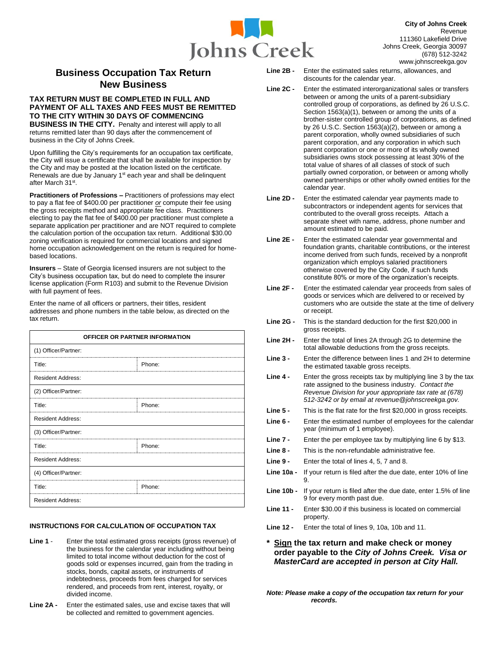

# **Business Occupation Tax Return New Business**

## **TAX RETURN MUST BE COMPLETED IN FULL AND PAYMENT OF ALL TAXES AND FEES MUST BE REMITTED TO THE CITY WITHIN 30 DAYS OF COMMENCING**

**BUSINESS IN THE CITY.** Penalty and interest will apply to all returns remitted later than 90 days after the commencement of business in the City of Johns Creek.

Upon fulfilling the City's requirements for an occupation tax certificate, the City will issue a certificate that shall be available for inspection by the City and may be posted at the location listed on the certificate. Renewals are due by January 1<sup>st</sup> each year and shall be delinquent after March 31st.

**Practitioners of Professions –** Practitioners of professions may elect to pay a flat fee of \$400.00 per practitioner *or* compute their fee using the gross receipts method and appropriate fee class. Practitioners electing to pay the flat fee of \$400.00 per practitioner must complete a separate application per practitioner and are NOT required to complete the calculation portion of the occupation tax return. Additional \$30.00 zoning verification is required for commercial locations and signed home occupation acknowledgement on the return is required for homebased locations.

**Insurers** – State of Georgia licensed insurers are not subject to the City's business occupation tax, but do need to complete the insurer license application (Form R103) and submit to the Revenue Division with full payment of fees.

Enter the name of all officers or partners, their titles, resident addresses and phone numbers in the table below, as directed on the tax return.

| OFFICER OR PARTNER INFORMATION |        |  |  |  |
|--------------------------------|--------|--|--|--|
| (1) Officer/Partner:           |        |  |  |  |
| Title:                         | Phone: |  |  |  |
| <b>Resident Address:</b>       |        |  |  |  |
| (2) Officer/Partner:           |        |  |  |  |
| Title:                         | Phone: |  |  |  |
| <b>Resident Address:</b>       |        |  |  |  |
| (3) Officer/Partner:           |        |  |  |  |
| Title:                         | Phone: |  |  |  |
| <b>Resident Address:</b>       |        |  |  |  |
| (4) Officer/Partner:           |        |  |  |  |
| Title:                         | Phone: |  |  |  |
| <b>Resident Address:</b>       |        |  |  |  |

## **INSTRUCTIONS FOR CALCULATION OF OCCUPATION TAX**

- **Line 1** Enter the total estimated gross receipts (gross revenue) of the business for the calendar year including without being limited to total income without deduction for the cost of goods sold or expenses incurred, gain from the trading in stocks, bonds, capital assets, or instruments of indebtedness, proceeds from fees charged for services rendered, and proceeds from rent, interest, royalty, or divided income.
- **Line 2A -** Enter the estimated sales, use and excise taxes that will be collected and remitted to government agencies.
- **Line 2B -** Enter the estimated sales returns, allowances, and discounts for the calendar year.
- **Line 2C**  Enter the estimated interorganizational sales or transfers between or among the units of a parent-subsidiary controlled group of corporations, as defined by 26 U.S.C. Section 1563(a)(1), between or among the units of a brother-sister controlled group of corporations, as defined by 26 U.S.C. Section 1563(a)(2), between or among a parent corporation, wholly owned subsidiaries of such parent corporation, and any corporation in which such parent corporation or one or more of its wholly owned subsidiaries owns stock possessing at least 30% of the total value of shares of all classes of stock of such partially owned corporation, or between or among wholly owned partnerships or other wholly owned entities for the calendar year.
- **Line 2D**  Enter the estimated calendar year payments made to subcontractors or independent agents for services that contributed to the overall gross receipts. Attach a separate sheet with name, address, phone number and amount estimated to be paid.
- **Line 2E -** Enter the estimated calendar year governmental and foundation grants, charitable contributions, or the interest income derived from such funds, received by a nonprofit organization which employs salaried practitioners otherwise covered by the City Code, if such funds constitute 80% or more of the organization's receipts.
- **Line 2F**  Enter the estimated calendar year proceeds from sales of goods or services which are delivered to or received by customers who are outside the state at the time of delivery or receipt.
- **Line 2G -** This is the standard deduction for the first \$20,000 in gross receipts.
- **Line 2H -** Enter the total of lines 2A through 2G to determine the total allowable deductions from the gross receipts.
- **Line 3 -** Enter the difference between lines 1 and 2H to determine the estimated taxable gross receipts.
- **Line 4 -** Enter the gross receipts tax by multiplying line 3 by the tax rate assigned to the business industry. *Contact the Revenue Division for your appropriate tax rate at (678) 512-3242 or by email at revenue@johnscreekga.gov.*
- **Line 5 -** This is the flat rate for the first \$20,000 in gross receipts.
- **Line 6 -** Enter the estimated number of employees for the calendar year (minimum of 1 employee).
- **Line 7 -** Enter the per employee tax by multiplying line 6 by \$13.
- **Line 8 -** This is the non-refundable administrative fee.
- **Line 9 -** Enter the total of lines 4, 5, 7 and 8.
- **Line 10a -** If your return is filed after the due date, enter 10% of line 9.
- **Line 10b -** If your return is filed after the due date, enter 1.5% of line 9 for every month past due.
- **Line 11 -** Enter \$30.00 if this business is located on commercial property.
- **Line 12 -** Enter the total of lines 9, 10a, 10b and 11.

## **\* Sign the tax return and make check or money order payable to the** *City of Johns Creek. Visa or MasterCard are accepted in person at City Hall.*

*Note: Please make a copy of the occupation tax return for your records.*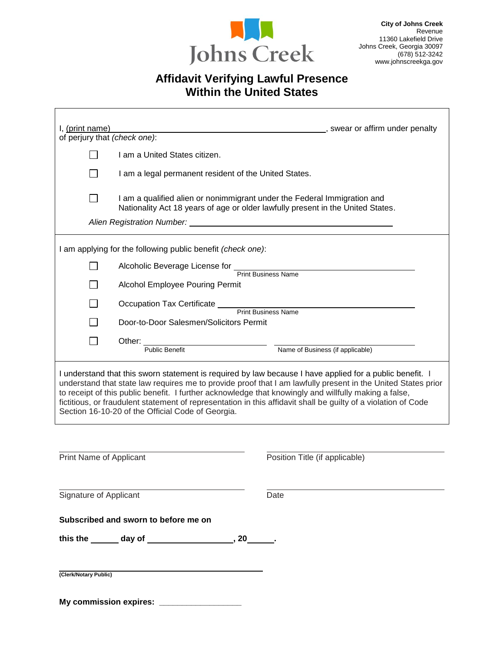

# **Affidavit Verifying Lawful Presence Within the United States**

| I, (print name)<br>of perjury that (check one): |                                                                                                                                                                                                                                                       | swear or affirm under penalty                                                                                                                                                                                                                                                                                                                                                                                                                       |
|-------------------------------------------------|-------------------------------------------------------------------------------------------------------------------------------------------------------------------------------------------------------------------------------------------------------|-----------------------------------------------------------------------------------------------------------------------------------------------------------------------------------------------------------------------------------------------------------------------------------------------------------------------------------------------------------------------------------------------------------------------------------------------------|
|                                                 | I am a United States citizen.                                                                                                                                                                                                                         |                                                                                                                                                                                                                                                                                                                                                                                                                                                     |
|                                                 | I am a legal permanent resident of the United States.                                                                                                                                                                                                 |                                                                                                                                                                                                                                                                                                                                                                                                                                                     |
|                                                 | I am a qualified alien or nonimmigrant under the Federal Immigration and<br>Nationality Act 18 years of age or older lawfully present in the United States.                                                                                           |                                                                                                                                                                                                                                                                                                                                                                                                                                                     |
|                                                 | Alien Registration Number: New York Channel Alien Number 2014                                                                                                                                                                                         |                                                                                                                                                                                                                                                                                                                                                                                                                                                     |
|                                                 | I am applying for the following public benefit (check one):                                                                                                                                                                                           |                                                                                                                                                                                                                                                                                                                                                                                                                                                     |
|                                                 | Alcoholic Beverage License for Terint Business Name                                                                                                                                                                                                   |                                                                                                                                                                                                                                                                                                                                                                                                                                                     |
|                                                 | <b>Alcohol Employee Pouring Permit</b>                                                                                                                                                                                                                |                                                                                                                                                                                                                                                                                                                                                                                                                                                     |
|                                                 |                                                                                                                                                                                                                                                       |                                                                                                                                                                                                                                                                                                                                                                                                                                                     |
|                                                 | Occupation Tax Certificate<br>Print Business Name                                                                                                                                                                                                     |                                                                                                                                                                                                                                                                                                                                                                                                                                                     |
|                                                 | Door-to-Door Salesmen/Solicitors Permit                                                                                                                                                                                                               |                                                                                                                                                                                                                                                                                                                                                                                                                                                     |
|                                                 | Other: _________<br>$\frac{1}{2}$ . The contract of the contract of the contract of the contract of the contract of the contract of the contract of the contract of the contract of the contract of the contract of the contract of the contract of t |                                                                                                                                                                                                                                                                                                                                                                                                                                                     |
|                                                 | <b>Public Benefit</b>                                                                                                                                                                                                                                 | Name of Business (if applicable)                                                                                                                                                                                                                                                                                                                                                                                                                    |
|                                                 | Section 16-10-20 of the Official Code of Georgia.                                                                                                                                                                                                     | I understand that this sworn statement is required by law because I have applied for a public benefit. I<br>understand that state law requires me to provide proof that I am lawfully present in the United States prior<br>to receipt of this public benefit. I further acknowledge that knowingly and willfully making a false,<br>fictitious, or fraudulent statement of representation in this affidavit shall be guilty of a violation of Code |
|                                                 |                                                                                                                                                                                                                                                       |                                                                                                                                                                                                                                                                                                                                                                                                                                                     |
| Print Name of Applicant                         |                                                                                                                                                                                                                                                       | Position Title (if applicable)                                                                                                                                                                                                                                                                                                                                                                                                                      |
| Signature of Applicant                          |                                                                                                                                                                                                                                                       | Date                                                                                                                                                                                                                                                                                                                                                                                                                                                |
|                                                 | Subscribed and sworn to before me on                                                                                                                                                                                                                  |                                                                                                                                                                                                                                                                                                                                                                                                                                                     |
|                                                 |                                                                                                                                                                                                                                                       |                                                                                                                                                                                                                                                                                                                                                                                                                                                     |
|                                                 |                                                                                                                                                                                                                                                       |                                                                                                                                                                                                                                                                                                                                                                                                                                                     |
| (Clerk/Notary Public)                           |                                                                                                                                                                                                                                                       |                                                                                                                                                                                                                                                                                                                                                                                                                                                     |
|                                                 |                                                                                                                                                                                                                                                       |                                                                                                                                                                                                                                                                                                                                                                                                                                                     |

**My commission expires: \_\_\_\_\_\_\_\_\_\_\_\_\_\_\_\_\_\_**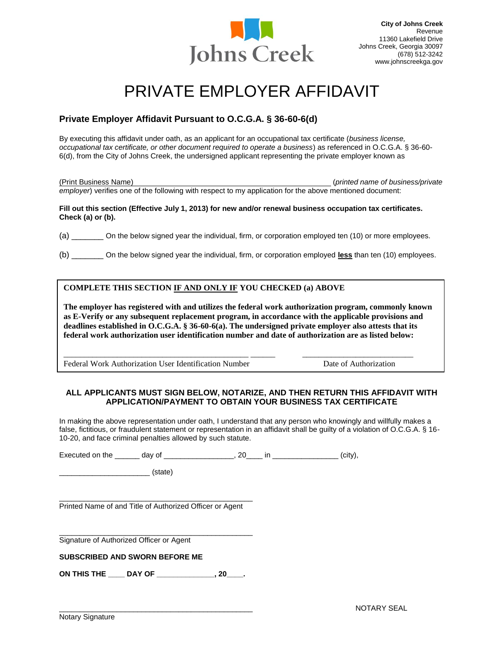

# PRIVATE FMPI OYER AFFIDAVIT

# **Private Employer Affidavit Pursuant to O.C.G.A. § 36-60-6(d)**

By executing this affidavit under oath, as an applicant for an occupational tax certificate (*business license, occupational tax certificate, or other document required to operate a business*) as referenced in O.C.G.A. § 36-60- 6(d), from the City of Johns Creek, the undersigned applicant representing the private employer known as

(Print Business Name) (*printed name of business/private employer*) verifies one of the following with respect to my application for the above mentioned document:

#### **Fill out this section (Effective July 1, 2013) for new and/or renewal business occupation tax certificates. Check (a) or (b).**

(a) \_\_\_\_\_\_\_ On the below signed year the individual, firm, or corporation employed ten (10) or more employees.

(b) \_\_\_\_\_\_\_ On the below signed year the individual, firm, or corporation employed **less** than ten (10) employees.

# **COMPLETE THIS SECTION IF AND ONLY IF YOU CHECKED (a) ABOVE**

**The employer has registered with and utilizes the federal work authorization program, commonly known as E-Verify or any subsequent replacement program, in accordance with the applicable provisions and deadlines established in O.C.G.A. § 36-60-6(a). The undersigned private employer also attests that its federal work authorization user identification number and date of authorization are as listed below:** 

\_\_\_\_\_\_\_\_\_\_\_\_\_\_\_\_\_\_\_\_\_\_\_\_\_\_\_\_\_\_\_\_\_\_\_\_\_\_\_\_\_\_\_\_\_ \_\_\_\_\_\_ \_\_\_\_\_\_\_\_\_\_\_\_\_\_\_\_\_\_\_\_\_\_\_\_\_\_\_

Federal Work Authorization User Identification Number Date of Authorization

# **ALL APPLICANTS MUST SIGN BELOW, NOTARIZE, AND THEN RETURN THIS AFFIDAVIT WITH APPLICATION/PAYMENT TO OBTAIN YOUR BUSINESS TAX CERTIFICATE**

In making the above representation under oath, I understand that any person who knowingly and willfully makes a false, fictitious, or fraudulent statement or representation in an affidavit shall be guilty of a violation of O.C.G.A. § 16-10-20, and face criminal penalties allowed by such statute.

Executed on the \_\_\_\_\_\_ day of \_\_\_\_\_\_\_\_\_\_\_\_\_\_\_\_, 20\_\_\_\_ in \_\_\_\_\_\_\_\_\_\_\_\_\_\_\_\_(city),

 $\blacksquare$  (state)

\_\_\_\_\_\_\_\_\_\_\_\_\_\_\_\_\_\_\_\_\_\_\_\_\_\_\_\_\_\_\_\_\_\_\_\_\_\_\_\_\_\_\_\_\_\_\_ Printed Name of and Title of Authorized Officer or Agent

\_\_\_\_\_\_\_\_\_\_\_\_\_\_\_\_\_\_\_\_\_\_\_\_\_\_\_\_\_\_\_\_\_\_\_\_\_\_\_\_\_\_\_\_\_\_\_ Signature of Authorized Officer or Agent

## **SUBSCRIBED AND SWORN BEFORE ME**

**ON THIS THE \_\_\_\_ DAY OF \_\_\_\_\_\_\_\_\_\_\_\_\_\_, 20\_\_\_\_.**